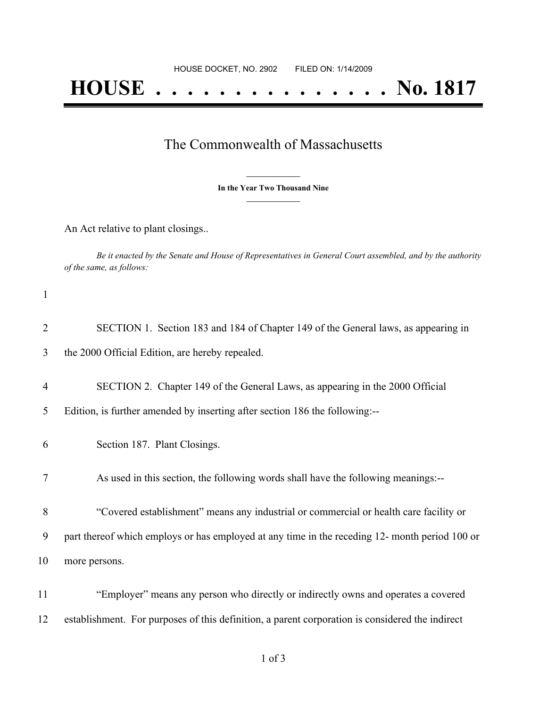## **HOUSE . . . . . . . . . . . . . . . No. 1817**

## The Commonwealth of Massachusetts

**\_\_\_\_\_\_\_\_\_\_\_\_\_\_\_ In the Year Two Thousand Nine \_\_\_\_\_\_\_\_\_\_\_\_\_\_\_**

An Act relative to plant closings..

Be it enacted by the Senate and House of Representatives in General Court assembled, and by the authority *of the same, as follows:*

1

| $\overline{2}$      | SECTION 1. Section 183 and 184 of Chapter 149 of the General laws, as appearing in                                                                           |
|---------------------|--------------------------------------------------------------------------------------------------------------------------------------------------------------|
| 3                   | the 2000 Official Edition, are hereby repealed.                                                                                                              |
| $\overline{4}$<br>5 | SECTION 2. Chapter 149 of the General Laws, as appearing in the 2000 Official<br>Edition, is further amended by inserting after section 186 the following:-- |
| 6                   | Section 187. Plant Closings.                                                                                                                                 |
| 7                   | As used in this section, the following words shall have the following meanings:--                                                                            |
| 8                   | "Covered establishment" means any industrial or commercial or health care facility or                                                                        |
| 9                   | part thereof which employs or has employed at any time in the receding 12- month period 100 or                                                               |
| 10                  | more persons.                                                                                                                                                |
| 11                  | "Employer" means any person who directly or indirectly owns and operates a covered                                                                           |
| 12                  | establishment. For purposes of this definition, a parent corporation is considered the indirect                                                              |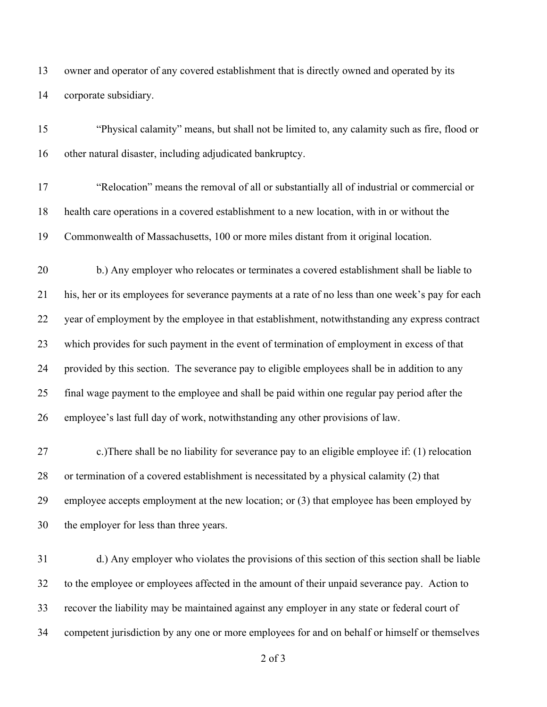owner and operator of any covered establishment that is directly owned and operated by its corporate subsidiary.

 "Physical calamity" means, but shall not be limited to, any calamity such as fire, flood or other natural disaster, including adjudicated bankruptcy.

 "Relocation" means the removal of all or substantially all of industrial or commercial or health care operations in a covered establishment to a new location, with in or without the Commonwealth of Massachusetts, 100 or more miles distant from it original location.

 b.) Any employer who relocates or terminates a covered establishment shall be liable to his, her or its employees for severance payments at a rate of no less than one week's pay for each year of employment by the employee in that establishment, notwithstanding any express contract which provides for such payment in the event of termination of employment in excess of that provided by this section. The severance pay to eligible employees shall be in addition to any final wage payment to the employee and shall be paid within one regular pay period after the employee's last full day of work, notwithstanding any other provisions of law.

 c.)There shall be no liability for severance pay to an eligible employee if: (1) relocation or termination of a covered establishment is necessitated by a physical calamity (2) that employee accepts employment at the new location; or (3) that employee has been employed by the employer for less than three years.

 d.) Any employer who violates the provisions of this section of this section shall be liable to the employee or employees affected in the amount of their unpaid severance pay. Action to recover the liability may be maintained against any employer in any state or federal court of competent jurisdiction by any one or more employees for and on behalf or himself or themselves

of 3